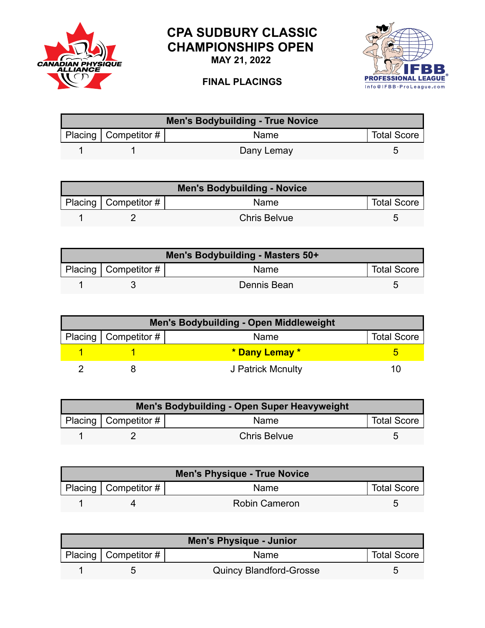

## **CPA SUDBURY CLASSIC CHAMPIONSHIPS OPEN**

**MAY 21, 2022**

## **FINAL PLACINGS**



| Men's Bodybuilding - True Novice |                        |             |                    |  |
|----------------------------------|------------------------|-------------|--------------------|--|
|                                  | Placing   Competitor # | <b>Name</b> | <b>Total Score</b> |  |
|                                  |                        | Dany Lemay  |                    |  |

| <b>Men's Bodybuilding - Novice</b> |                          |                     |                    |  |
|------------------------------------|--------------------------|---------------------|--------------------|--|
|                                    | Placing   Competitor $#$ | Name                | <b>Total Score</b> |  |
|                                    |                          | <b>Chris Belvue</b> |                    |  |

| Men's Bodybuilding - Masters 50+ |                           |             |                    |  |
|----------------------------------|---------------------------|-------------|--------------------|--|
|                                  | Placing   Competitor $\#$ | Name        | <b>Total Score</b> |  |
|                                  |                           | Dennis Bean |                    |  |

| Men's Bodybuilding - Open Middleweight |                        |                   |                    |  |
|----------------------------------------|------------------------|-------------------|--------------------|--|
|                                        | Placing   Competitor # | Name              | <b>Total Score</b> |  |
|                                        |                        | * Dany Lemay *    |                    |  |
|                                        |                        | J Patrick Mcnulty |                    |  |

| Men's Bodybuilding - Open Super Heavyweight |                        |                     |                    |  |
|---------------------------------------------|------------------------|---------------------|--------------------|--|
|                                             | Placing   Competitor # | <b>Name</b>         | <b>Total Score</b> |  |
|                                             |                        | <b>Chris Belvue</b> |                    |  |

| Men's Physique - True Novice |                        |                      |                    |  |
|------------------------------|------------------------|----------------------|--------------------|--|
|                              | Placing   Competitor # | <b>Name</b>          | <b>Total Score</b> |  |
|                              |                        | <b>Robin Cameron</b> |                    |  |

| <b>Men's Physique - Junior</b> |                        |                                |                    |
|--------------------------------|------------------------|--------------------------------|--------------------|
|                                | Placing   Competitor # | Name                           | <b>Total Score</b> |
|                                |                        | <b>Quincy Blandford-Grosse</b> |                    |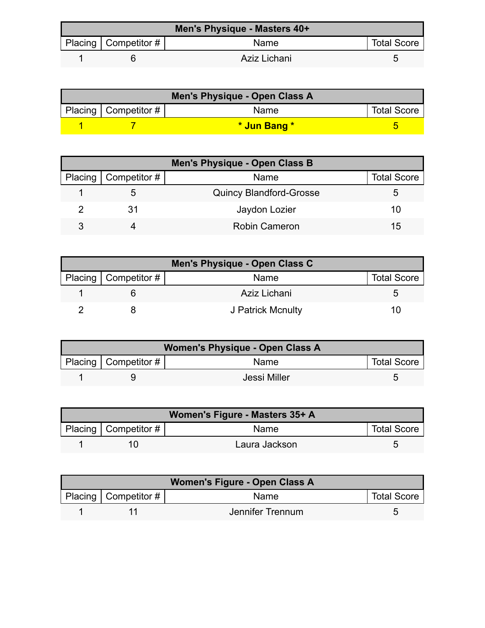| Men's Physique - Masters 40+ |                        |              |                    |  |
|------------------------------|------------------------|--------------|--------------------|--|
|                              | Placing   Competitor # | Name         | <b>Total Score</b> |  |
|                              |                        | Aziz Lichani |                    |  |

| Men's Physique - Open Class A |                        |              |                    |  |
|-------------------------------|------------------------|--------------|--------------------|--|
|                               | Placing   Competitor # | <b>Name</b>  | <b>Total Score</b> |  |
|                               |                        | * Jun Bang * |                    |  |

| <b>Men's Physique - Open Class B</b> |                              |                                |                    |  |
|--------------------------------------|------------------------------|--------------------------------|--------------------|--|
|                                      | Placing $\vert$ Competitor # | Name                           | <b>Total Score</b> |  |
|                                      |                              | <b>Quincy Blandford-Grosse</b> |                    |  |
|                                      | 31                           | Jaydon Lozier                  | 10                 |  |
|                                      |                              | <b>Robin Cameron</b>           | 15                 |  |

| Men's Physique - Open Class C |                          |                   |                    |  |
|-------------------------------|--------------------------|-------------------|--------------------|--|
|                               | Placing   Competitor $#$ | Name              | <b>Total Score</b> |  |
|                               |                          | Aziz Lichani      |                    |  |
|                               |                          | J Patrick Mcnulty | I ( )              |  |

| Women's Physique - Open Class A |                           |              |                    |  |
|---------------------------------|---------------------------|--------------|--------------------|--|
|                                 | Placing   Competitor $\#$ | <b>Name</b>  | <b>Total Score</b> |  |
|                                 |                           | Jessi Miller |                    |  |

|                        | Women's Figure - Masters 35+ A |                    |
|------------------------|--------------------------------|--------------------|
| Placing   Competitor # | <b>Name</b>                    | <b>Total Score</b> |
|                        | Laura Jackson                  |                    |

| Women's Figure - Open Class A |                                      |                  |                    |  |
|-------------------------------|--------------------------------------|------------------|--------------------|--|
|                               | Placing $\vert$ Competitor # $\vert$ | <b>Name</b>      | <b>Total Score</b> |  |
|                               |                                      | Jennifer Trennum |                    |  |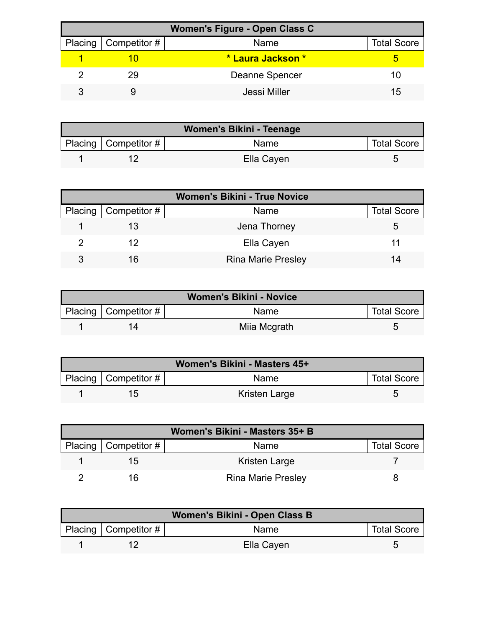| <b>Women's Figure - Open Class C</b> |                              |                   |                    |  |
|--------------------------------------|------------------------------|-------------------|--------------------|--|
|                                      | Placing $\vert$ Competitor # | Name              | <b>Total Score</b> |  |
|                                      |                              | * Laura Jackson * |                    |  |
|                                      | 29                           | Deanne Spencer    | 10                 |  |
|                                      |                              | Jessi Miller      | 15                 |  |

| Women's Bikini - Teenage |                          |             |                    |
|--------------------------|--------------------------|-------------|--------------------|
|                          | Placing   Competitor $#$ | <b>Name</b> | <b>Total Score</b> |
|                          |                          | Ella Cayen  |                    |

| <b>Women's Bikini - True Novice</b> |                        |                           |                    |  |
|-------------------------------------|------------------------|---------------------------|--------------------|--|
|                                     | Placing   Competitor # | Name                      | <b>Total Score</b> |  |
|                                     |                        | Jena Thorney              |                    |  |
|                                     | 12                     | Ella Cayen                |                    |  |
|                                     | 16                     | <b>Rina Marie Presley</b> | 14                 |  |

| <b>Women's Bikini - Novice</b> |                           |              |                    |
|--------------------------------|---------------------------|--------------|--------------------|
|                                | Placing   Competitor $\#$ | Name         | <b>Total Score</b> |
|                                |                           | Miia Mcgrath |                    |

| Women's Bikini - Masters 45+ |                            |               |                    |  |
|------------------------------|----------------------------|---------------|--------------------|--|
|                              | Placing   Competitor # $ $ | Name          | <b>Total Score</b> |  |
|                              |                            | Kristen Large |                    |  |

| Women's Bikini - Masters 35+ B |                           |                    |  |  |
|--------------------------------|---------------------------|--------------------|--|--|
| Placing   Competitor #         | Name                      | <b>Total Score</b> |  |  |
| 15                             | Kristen Large             |                    |  |  |
| ıĸ.                            | <b>Rina Marie Presley</b> |                    |  |  |

| Women's Bikini - Open Class B |                           |             |                    |  |
|-------------------------------|---------------------------|-------------|--------------------|--|
|                               | Placing   Competitor $\#$ | <b>Name</b> | <b>Total Score</b> |  |
|                               |                           | Ella Cayen  |                    |  |